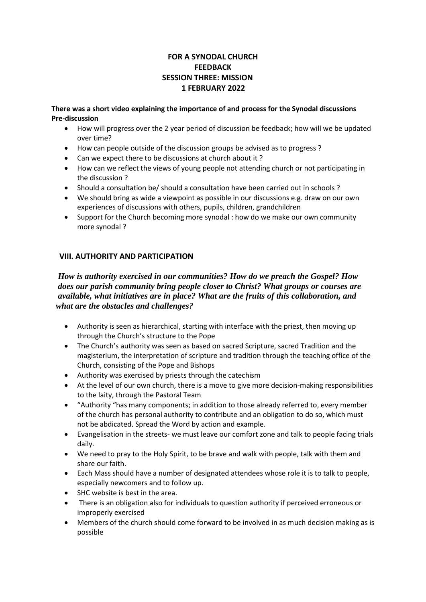# **FOR A SYNODAL CHURCH FEEDBACK SESSION THREE: MISSION 1 FEBRUARY 2022**

**There was a short video explaining the importance of and process for the Synodal discussions Pre-discussion**

- How will progress over the 2 year period of discussion be feedback; how will we be updated over time?
- How can people outside of the discussion groups be advised as to progress ?
- Can we expect there to be discussions at church about it ?
- How can we reflect the views of young people not attending church or not participating in the discussion ?
- Should a consultation be/ should a consultation have been carried out in schools ?
- We should bring as wide a viewpoint as possible in our discussions e.g. draw on our own experiences of discussions with others, pupils, children, grandchildren
- Support for the Church becoming more synodal : how do we make our own community more synodal ?

### **VIII. AUTHORITY AND PARTICIPATION**

 *How is authority exercised in our communities? How do we preach the Gospel? How does our parish community bring people closer to Christ? What groups or courses are available, what initiatives are in place? What are the fruits of this collaboration, and what are the obstacles and challenges?*

- Authority is seen as hierarchical, starting with interface with the priest, then moving up through the Church's structure to the Pope
- The Church's authority was seen as based on sacred Scripture, sacred Tradition and the magisterium, the interpretation of scripture and tradition through the teaching office of the Church, consisting of the Pope and Bishops
- Authority was exercised by priests through the catechism
- At the level of our own church, there is a move to give more decision-making responsibilities to the laity, through the Pastoral Team
- "Authority "has many components; in addition to those already referred to, every member of the church has personal authority to contribute and an obligation to do so, which must not be abdicated. Spread the Word by action and example.
- Evangelisation in the streets- we must leave our comfort zone and talk to people facing trials daily.
- We need to pray to the Holy Spirit, to be brave and walk with people, talk with them and share our faith.
- Each Mass should have a number of designated attendees whose role it is to talk to people, especially newcomers and to follow up.
- SHC website is best in the area.
- There is an obligation also for individuals to question authority if perceived erroneous or improperly exercised
- Members of the church should come forward to be involved in as much decision making as is possible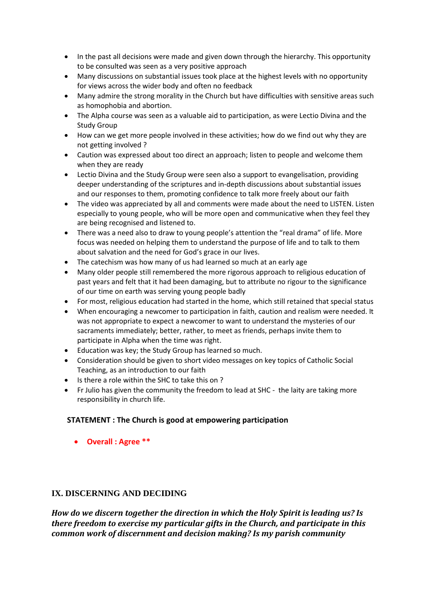- In the past all decisions were made and given down through the hierarchy. This opportunity to be consulted was seen as a very positive approach
- Many discussions on substantial issues took place at the highest levels with no opportunity for views across the wider body and often no feedback
- Many admire the strong morality in the Church but have difficulties with sensitive areas such as homophobia and abortion.
- The Alpha course was seen as a valuable aid to participation, as were Lectio Divina and the Study Group
- How can we get more people involved in these activities; how do we find out why they are not getting involved ?
- Caution was expressed about too direct an approach; listen to people and welcome them when they are ready
- Lectio Divina and the Study Group were seen also a support to evangelisation, providing deeper understanding of the scriptures and in-depth discussions about substantial issues and our responses to them, promoting confidence to talk more freely about our faith
- The video was appreciated by all and comments were made about the need to LISTEN. Listen especially to young people, who will be more open and communicative when they feel they are being recognised and listened to.
- There was a need also to draw to young people's attention the "real drama" of life. More focus was needed on helping them to understand the purpose of life and to talk to them about salvation and the need for God's grace in our lives.
- The catechism was how many of us had learned so much at an early age
- Many older people still remembered the more rigorous approach to religious education of past years and felt that it had been damaging, but to attribute no rigour to the significance of our time on earth was serving young people badly
- For most, religious education had started in the home, which still retained that special status
- When encouraging a newcomer to participation in faith, caution and realism were needed. It was not appropriate to expect a newcomer to want to understand the mysteries of our sacraments immediately; better, rather, to meet as friends, perhaps invite them to participate in Alpha when the time was right.
- Education was key; the Study Group has learned so much.
- Consideration should be given to short video messages on key topics of Catholic Social Teaching, as an introduction to our faith
- Is there a role within the SHC to take this on ?
- Fr Julio has given the community the freedom to lead at SHC the laity are taking more responsibility in church life.

## **STATEMENT : The Church is good at empowering participation**

• **Overall : Agree \*\***

## **IX. DISCERNING AND DECIDING**

*How do we discern together the direction in which the Holy Spirit is leading us? Is there freedom to exercise my particular gifts in the Church, and participate in this common work of discernment and decision making? Is my parish community*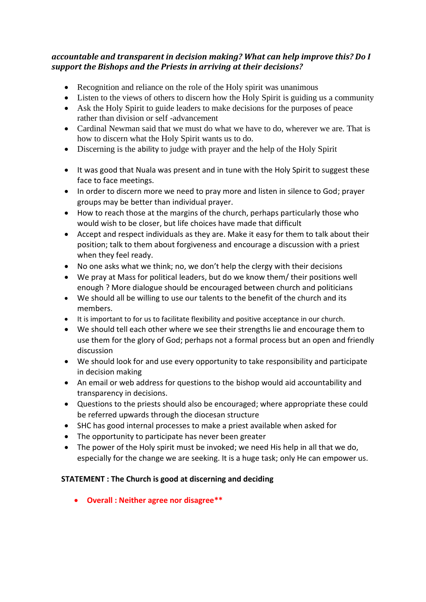# *accountable and transparent in decision making? What can help improve this? Do I support the Bishops and the Priests in arriving at their decisions?*

- Recognition and reliance on the role of the Holy spirit was unanimous
- Listen to the views of others to discern how the Holy Spirit is guiding us a community
- Ask the Holy Spirit to guide leaders to make decisions for the purposes of peace rather than division or self -advancement
- Cardinal Newman said that we must do what we have to do, wherever we are. That is how to discern what the Holy Spirit wants us to do.
- Discerning is the ability to judge with prayer and the help of the Holy Spirit
- It was good that Nuala was present and in tune with the Holy Spirit to suggest these face to face meetings.
- In order to discern more we need to pray more and listen in silence to God; prayer groups may be better than individual prayer.
- How to reach those at the margins of the church, perhaps particularly those who would wish to be closer, but life choices have made that difficult
- Accept and respect individuals as they are. Make it easy for them to talk about their position; talk to them about forgiveness and encourage a discussion with a priest when they feel ready.
- No one asks what we think; no, we don't help the clergy with their decisions
- We pray at Mass for political leaders, but do we know them/ their positions well enough ? More dialogue should be encouraged between church and politicians
- We should all be willing to use our talents to the benefit of the church and its members.
- It is important to for us to facilitate flexibility and positive acceptance in our church.
- We should tell each other where we see their strengths lie and encourage them to use them for the glory of God; perhaps not a formal process but an open and friendly discussion
- We should look for and use every opportunity to take responsibility and participate in decision making
- An email or web address for questions to the bishop would aid accountability and transparency in decisions.
- Questions to the priests should also be encouraged; where appropriate these could be referred upwards through the diocesan structure
- SHC has good internal processes to make a priest available when asked for
- The opportunity to participate has never been greater
- The power of the Holy spirit must be invoked; we need His help in all that we do, especially for the change we are seeking. It is a huge task; only He can empower us.

## **STATEMENT : The Church is good at discerning and deciding**

• **Overall : Neither agree nor disagree\*\***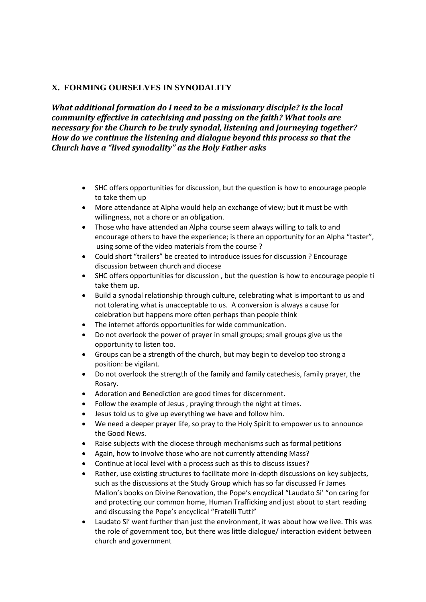# **X. FORMING OURSELVES IN SYNODALITY**

*What additional formation do I need to be a missionary disciple? Is the local community effective in catechising and passing on the faith? What tools are necessary for the Church to be truly synodal, listening and journeying together? How do we continue the listening and dialogue beyond this process so that the Church have a "lived synodality" as the Holy Father asks*

- SHC offers opportunities for discussion, but the question is how to encourage people to take them up
- More attendance at Alpha would help an exchange of view; but it must be with willingness, not a chore or an obligation.
- Those who have attended an Alpha course seem always willing to talk to and encourage others to have the experience; is there an opportunity for an Alpha "taster", using some of the video materials from the course ?
- Could short "trailers" be created to introduce issues for discussion ? Encourage discussion between church and diocese
- SHC offers opportunities for discussion , but the question is how to encourage people ti take them up.
- Build a synodal relationship through culture, celebrating what is important to us and not tolerating what is unacceptable to us. A conversion is always a cause for celebration but happens more often perhaps than people think
- The internet affords opportunities for wide communication.
- Do not overlook the power of prayer in small groups; small groups give us the opportunity to listen too.
- Groups can be a strength of the church, but may begin to develop too strong a position: be vigilant.
- Do not overlook the strength of the family and family catechesis, family prayer, the Rosary.
- Adoration and Benediction are good times for discernment.
- Follow the example of Jesus , praying through the night at times.
- Jesus told us to give up everything we have and follow him.
- We need a deeper prayer life, so pray to the Holy Spirit to empower us to announce the Good News.
- Raise subjects with the diocese through mechanisms such as formal petitions
- Again, how to involve those who are not currently attending Mass?
- Continue at local level with a process such as this to discuss issues?
- Rather, use existing structures to facilitate more in-depth discussions on key subjects, such as the discussions at the Study Group which has so far discussed Fr James Mallon's books on Divine Renovation, the Pope's encyclical "Laudato Si' "on caring for and protecting our common home, Human Trafficking and just about to start reading and discussing the Pope's encyclical "Fratelli Tutti"
- Laudato Si' went further than just the environment, it was about how we live. This was the role of government too, but there was little dialogue/ interaction evident between church and government